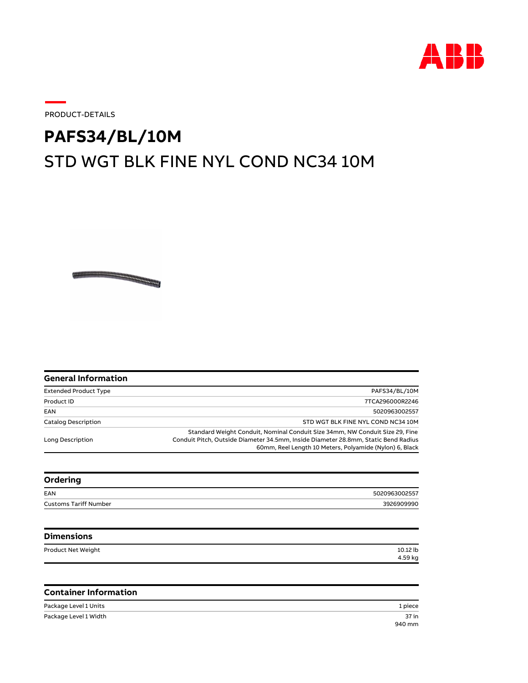

37 in

PRODUCT-DETAILS

## STD WGT BLK FINE NYL COND NC34 10M **PAFS34/BL/10M**

| <b>General Information</b>   |                                                                                                                                                                                                                               |
|------------------------------|-------------------------------------------------------------------------------------------------------------------------------------------------------------------------------------------------------------------------------|
| <b>Extended Product Type</b> | PAFS34/BL/10M                                                                                                                                                                                                                 |
| Product ID                   | 7TCA296000R2246                                                                                                                                                                                                               |
| EAN                          | 5020963002557                                                                                                                                                                                                                 |
| <b>Catalog Description</b>   | STD WGT BLK FINE NYL COND NC34 10M                                                                                                                                                                                            |
| Long Description             | Standard Weight Conduit, Nominal Conduit Size 34mm, NW Conduit Size 29, Fine<br>Conduit Pitch, Outside Diameter 34.5mm, Inside Diameter 28.8mm, Static Bend Radius<br>60mm, Reel Length 10 Meters, Polyamide (Nylon) 6, Black |
| Ordering                     |                                                                                                                                                                                                                               |
| EAN                          | 5020963002557                                                                                                                                                                                                                 |
| <b>Customs Tariff Number</b> | 3926909990                                                                                                                                                                                                                    |
| <b>Dimensions</b>            |                                                                                                                                                                                                                               |
| Product Net Weight           | 10.12 lb<br>4.59 kg                                                                                                                                                                                                           |
|                              |                                                                                                                                                                                                                               |

## **Container Information**

Package Level 1 Units 1 piece 940 mm Package Level 1 Width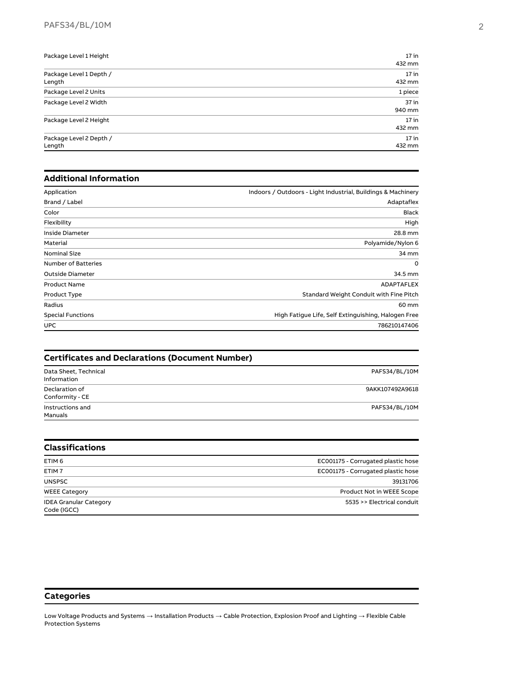| Package Level 1 Height  | $17$ in |
|-------------------------|---------|
|                         | 432 mm  |
| Package Level 1 Depth / | $17$ in |
| Length                  | 432 mm  |
| Package Level 2 Units   | 1 piece |
| Package Level 2 Width   | $37$ in |
|                         | 940 mm  |
| Package Level 2 Height  | $17$ in |
|                         | 432 mm  |
| Package Level 2 Depth / | $17$ in |
| Length                  | 432 mm  |

## **Additional Information**

| Application                | Indoors / Outdoors - Light Industrial, Buildings & Machinery |
|----------------------------|--------------------------------------------------------------|
| Brand / Label              | Adaptaflex                                                   |
| Color                      | <b>Black</b>                                                 |
| Flexibility                | High                                                         |
| Inside Diameter            | 28.8 mm                                                      |
| Material                   | Polyamide/Nylon 6                                            |
| <b>Nominal Size</b>        | 34 mm                                                        |
| <b>Number of Batteries</b> | 0                                                            |
| Outside Diameter           | 34.5 mm                                                      |
| <b>Product Name</b>        | <b>ADAPTAFLEX</b>                                            |
| Product Type               | Standard Weight Conduit with Fine Pitch                      |
| Radius                     | 60 mm                                                        |
| <b>Special Functions</b>   | High Fatique Life, Self Extinguishing, Halogen Free          |
| <b>UPC</b>                 | 786210147406                                                 |

| <b>Certificates and Declarations (Document Number)</b> |                                    |  |
|--------------------------------------------------------|------------------------------------|--|
| Data Sheet, Technical<br>Information                   | PAFS34/BL/10M                      |  |
| Declaration of<br>Conformity - CE                      | 9AKK107492A9618                    |  |
| Instructions and<br>Manuals                            | PAFS34/BL/10M                      |  |
| <b>Classifications</b>                                 |                                    |  |
| ETIM <sub>6</sub>                                      | EC001175 - Corrugated plastic hose |  |
| ETIM <sub>7</sub>                                      | EC001175 - Corrugated plastic hose |  |

| <b>EIIVE</b>                  | ECOULLES - COLLUGATED DIASTIC HOSE |
|-------------------------------|------------------------------------|
| UNSPSC                        | 39131706                           |
| <b>WEEE Category</b>          | Product Not in WEEE Scope          |
| <b>IDEA Granular Category</b> | 5535 >> Electrical conduit         |
| Code (IGCC)                   |                                    |

## **Categories**

Low Voltage Products and Systems  $\to$  Installation Products  $\to$  Cable Protection, Explosion Proof and Lighting  $\to$  Flexible Cable Protection Systems